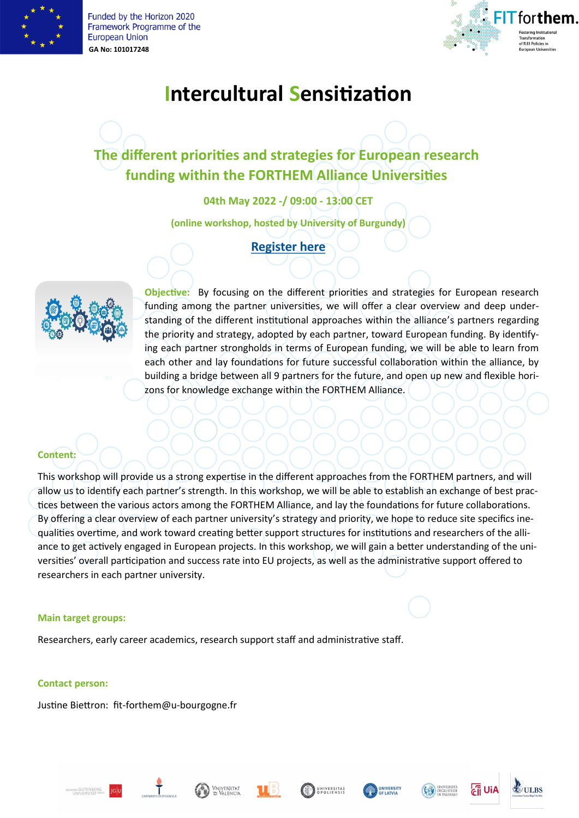

Funded by the Horizon 2020 Framework Programme of the **European Union GA No: 101017248**



# **Intercultural Sensitization**

## **The different priorities and strategies for European research funding within the FORTHEM Alliance Universities**

**04th May 2022 -/ 09:00 - 13:00 CET**

**(online workshop, hosted by University of Burgundy)**

#### **[Register here](https://sondages.u-bourgogne.fr/index.php/717527?lang=en)**



**Objective:** By focusing on the different priorities and strategies for European research funding among the partner universities, we will offer a clear overview and deep understanding of the different institutional approaches within the alliance's partners regarding the priority and strategy, adopted by each partner, toward European funding. By identifying each partner strongholds in terms of European funding, we will be able to learn from each other and lay foundations for future successful collaboration within the alliance, by building a bridge between all 9 partners for the future, and open up new and flexible horizons for knowledge exchange within the FORTHEM Alliance.

#### **Content:**

This workshop will provide us a strong expertise in the different approaches from the FORTHEM partners, and will allow us to identify each partner's strength. In this workshop, we will be able to establish an exchange of best practices between the various actors among the FORTHEM Alliance, and lay the foundations for future collaborations. By offering a clear overview of each partner university's strategy and priority, we hope to reduce site specifics inequalities overtime, and work toward creating better support structures for institutions and researchers of the alliance to get actively engaged in European projects. In this workshop, we will gain a better understanding of the universities' overall participation and success rate into EU projects, as well as the administrative support offered to researchers in each partner university.

#### **Main target groups:**

Researchers, early career academics, research support staff and administrative staff.

#### **Contact person:**

Justine Biettron: fit-forthem@u-bourgogne.fr